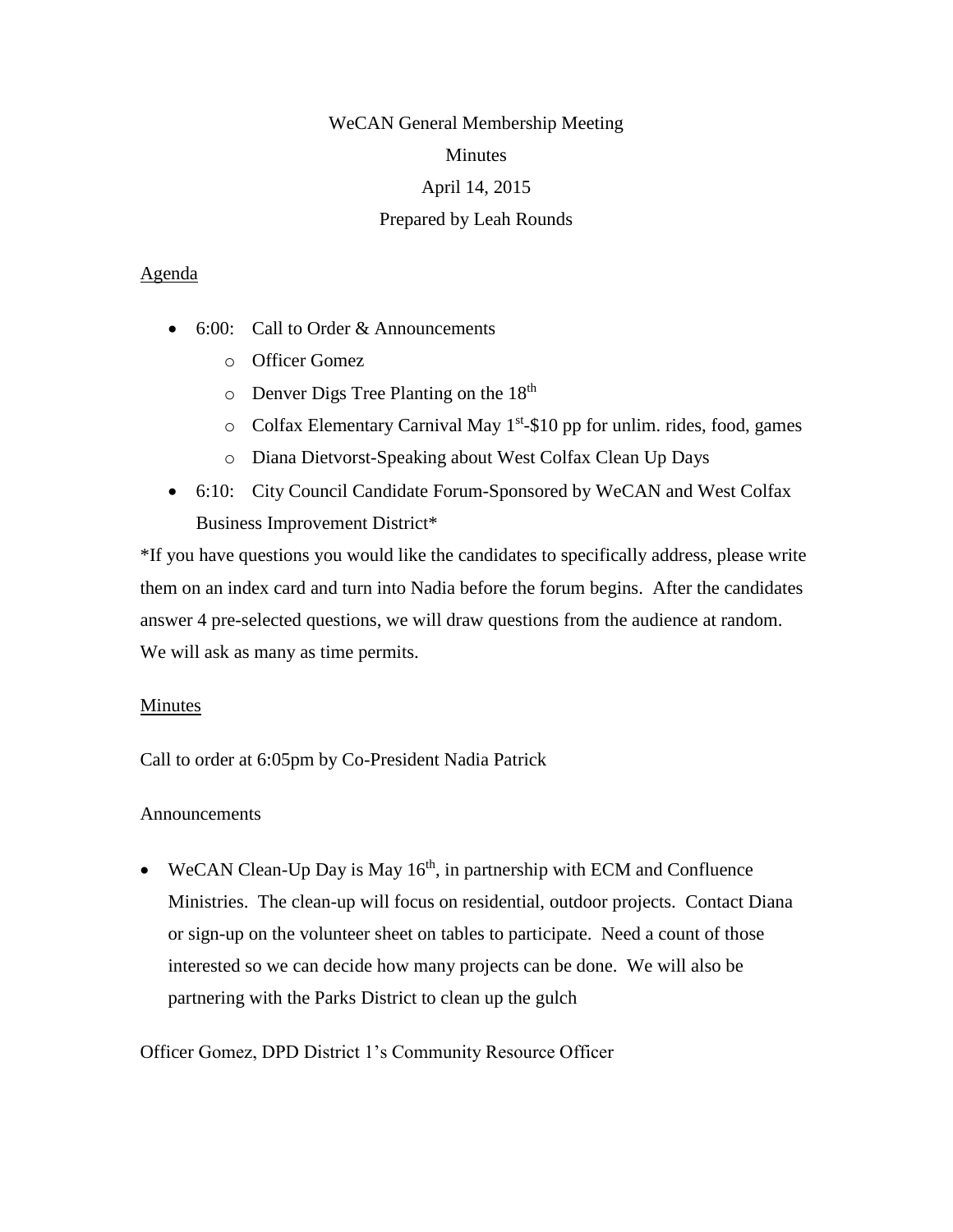# WeCAN General Membership Meeting Minutes April 14, 2015 Prepared by Leah Rounds

## Agenda

- $\bullet$  6:00: Call to Order & Announcements
	- o Officer Gomez
	- $\circ$  Denver Digs Tree Planting on the 18<sup>th</sup>
	- $\circ$  Colfax Elementary Carnival May 1<sup>st</sup>-\$10 pp for unlim. rides, food, games
	- o Diana Dietvorst-Speaking about West Colfax Clean Up Days
- 6:10: City Council Candidate Forum-Sponsored by WeCAN and West Colfax Business Improvement District\*

\*If you have questions you would like the candidates to specifically address, please write them on an index card and turn into Nadia before the forum begins. After the candidates answer 4 pre-selected questions, we will draw questions from the audience at random. We will ask as many as time permits.

# Minutes

Call to order at 6:05pm by Co-President Nadia Patrick

# Announcements

• WeCAN Clean-Up Day is May  $16<sup>th</sup>$ , in partnership with ECM and Confluence Ministries. The clean-up will focus on residential, outdoor projects. Contact Diana or sign-up on the volunteer sheet on tables to participate. Need a count of those interested so we can decide how many projects can be done. We will also be partnering with the Parks District to clean up the gulch

Officer Gomez, DPD District 1's Community Resource Officer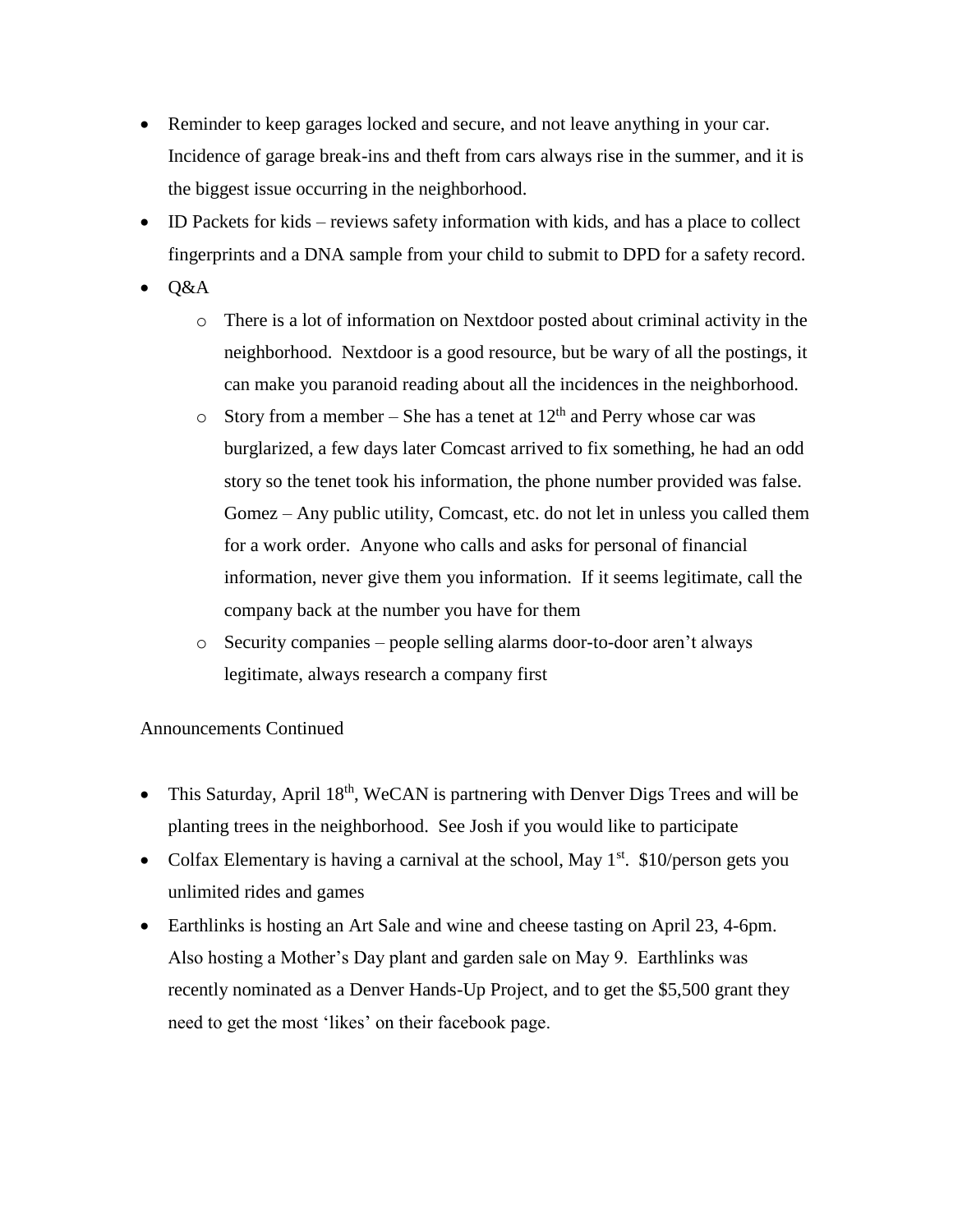- Reminder to keep garages locked and secure, and not leave anything in your car. Incidence of garage break-ins and theft from cars always rise in the summer, and it is the biggest issue occurring in the neighborhood.
- ID Packets for kids reviews safety information with kids, and has a place to collect fingerprints and a DNA sample from your child to submit to DPD for a safety record.
- Q&A
	- o There is a lot of information on Nextdoor posted about criminal activity in the neighborhood. Nextdoor is a good resource, but be wary of all the postings, it can make you paranoid reading about all the incidences in the neighborhood.
	- $\circ$  Story from a member She has a tenet at 12<sup>th</sup> and Perry whose car was burglarized, a few days later Comcast arrived to fix something, he had an odd story so the tenet took his information, the phone number provided was false. Gomez – Any public utility, Comcast, etc. do not let in unless you called them for a work order. Anyone who calls and asks for personal of financial information, never give them you information. If it seems legitimate, call the company back at the number you have for them
	- o Security companies people selling alarms door-to-door aren't always legitimate, always research a company first

## Announcements Continued

- This Saturday, April  $18<sup>th</sup>$ , WeCAN is partnering with Denver Digs Trees and will be planting trees in the neighborhood. See Josh if you would like to participate
- Colfax Elementary is having a carnival at the school, May  $1<sup>st</sup>$ . \$10/person gets you unlimited rides and games
- Earthlinks is hosting an Art Sale and wine and cheese tasting on April 23, 4-6pm. Also hosting a Mother's Day plant and garden sale on May 9. Earthlinks was recently nominated as a Denver Hands-Up Project, and to get the \$5,500 grant they need to get the most 'likes' on their facebook page.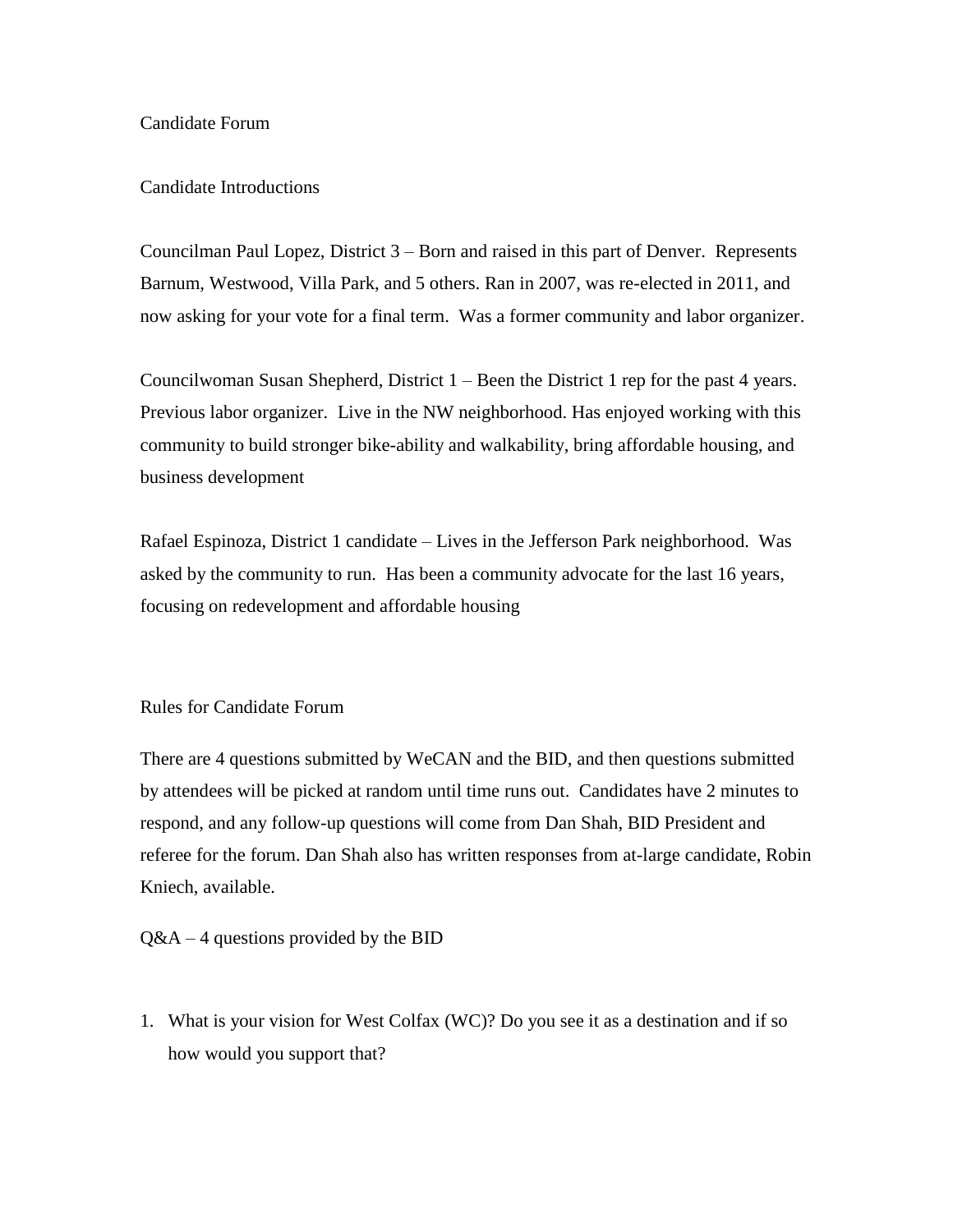### Candidate Forum

### Candidate Introductions

Councilman Paul Lopez, District 3 – Born and raised in this part of Denver. Represents Barnum, Westwood, Villa Park, and 5 others. Ran in 2007, was re-elected in 2011, and now asking for your vote for a final term. Was a former community and labor organizer.

Councilwoman Susan Shepherd, District  $1 -$ Been the District 1 rep for the past 4 years. Previous labor organizer. Live in the NW neighborhood. Has enjoyed working with this community to build stronger bike-ability and walkability, bring affordable housing, and business development

Rafael Espinoza, District 1 candidate – Lives in the Jefferson Park neighborhood. Was asked by the community to run. Has been a community advocate for the last 16 years, focusing on redevelopment and affordable housing

### Rules for Candidate Forum

There are 4 questions submitted by WeCAN and the BID, and then questions submitted by attendees will be picked at random until time runs out. Candidates have 2 minutes to respond, and any follow-up questions will come from Dan Shah, BID President and referee for the forum. Dan Shah also has written responses from at-large candidate, Robin Kniech, available.

 $Q&A-4$  questions provided by the BID

1. What is your vision for West Colfax (WC)? Do you see it as a destination and if so how would you support that?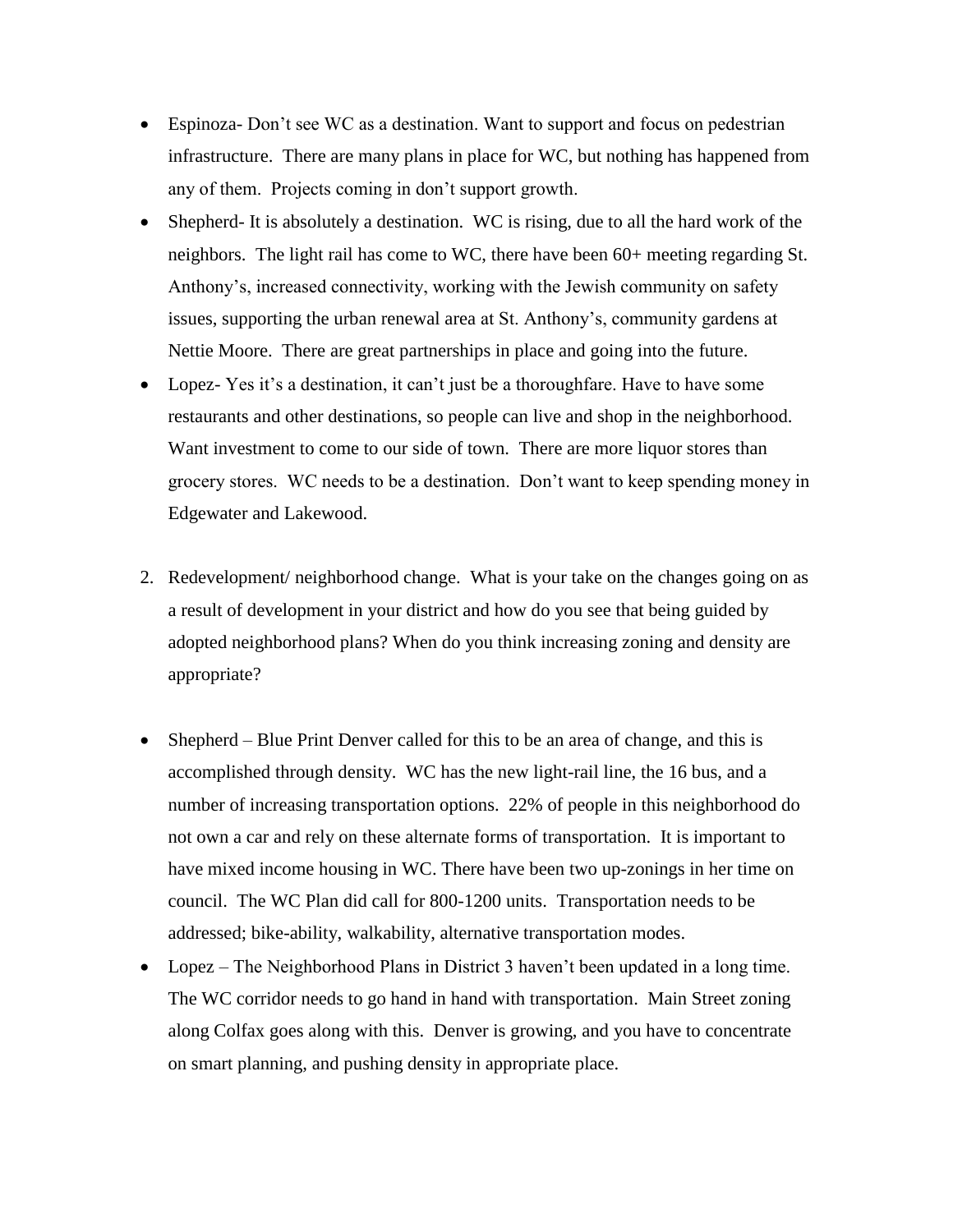- Espinoza- Don't see WC as a destination. Want to support and focus on pedestrian infrastructure. There are many plans in place for WC, but nothing has happened from any of them. Projects coming in don't support growth.
- Shepherd- It is absolutely a destination. WC is rising, due to all the hard work of the neighbors. The light rail has come to WC, there have been 60+ meeting regarding St. Anthony's, increased connectivity, working with the Jewish community on safety issues, supporting the urban renewal area at St. Anthony's, community gardens at Nettie Moore. There are great partnerships in place and going into the future.
- Lopez- Yes it's a destination, it can't just be a thoroughfare. Have to have some restaurants and other destinations, so people can live and shop in the neighborhood. Want investment to come to our side of town. There are more liquor stores than grocery stores. WC needs to be a destination. Don't want to keep spending money in Edgewater and Lakewood.
- 2. Redevelopment/ neighborhood change. What is your take on the changes going on as a result of development in your district and how do you see that being guided by adopted neighborhood plans? When do you think increasing zoning and density are appropriate?
- Shepherd Blue Print Denver called for this to be an area of change, and this is accomplished through density. WC has the new light-rail line, the 16 bus, and a number of increasing transportation options. 22% of people in this neighborhood do not own a car and rely on these alternate forms of transportation. It is important to have mixed income housing in WC. There have been two up-zonings in her time on council. The WC Plan did call for 800-1200 units. Transportation needs to be addressed; bike-ability, walkability, alternative transportation modes.
- Lopez The Neighborhood Plans in District 3 haven't been updated in a long time. The WC corridor needs to go hand in hand with transportation. Main Street zoning along Colfax goes along with this. Denver is growing, and you have to concentrate on smart planning, and pushing density in appropriate place.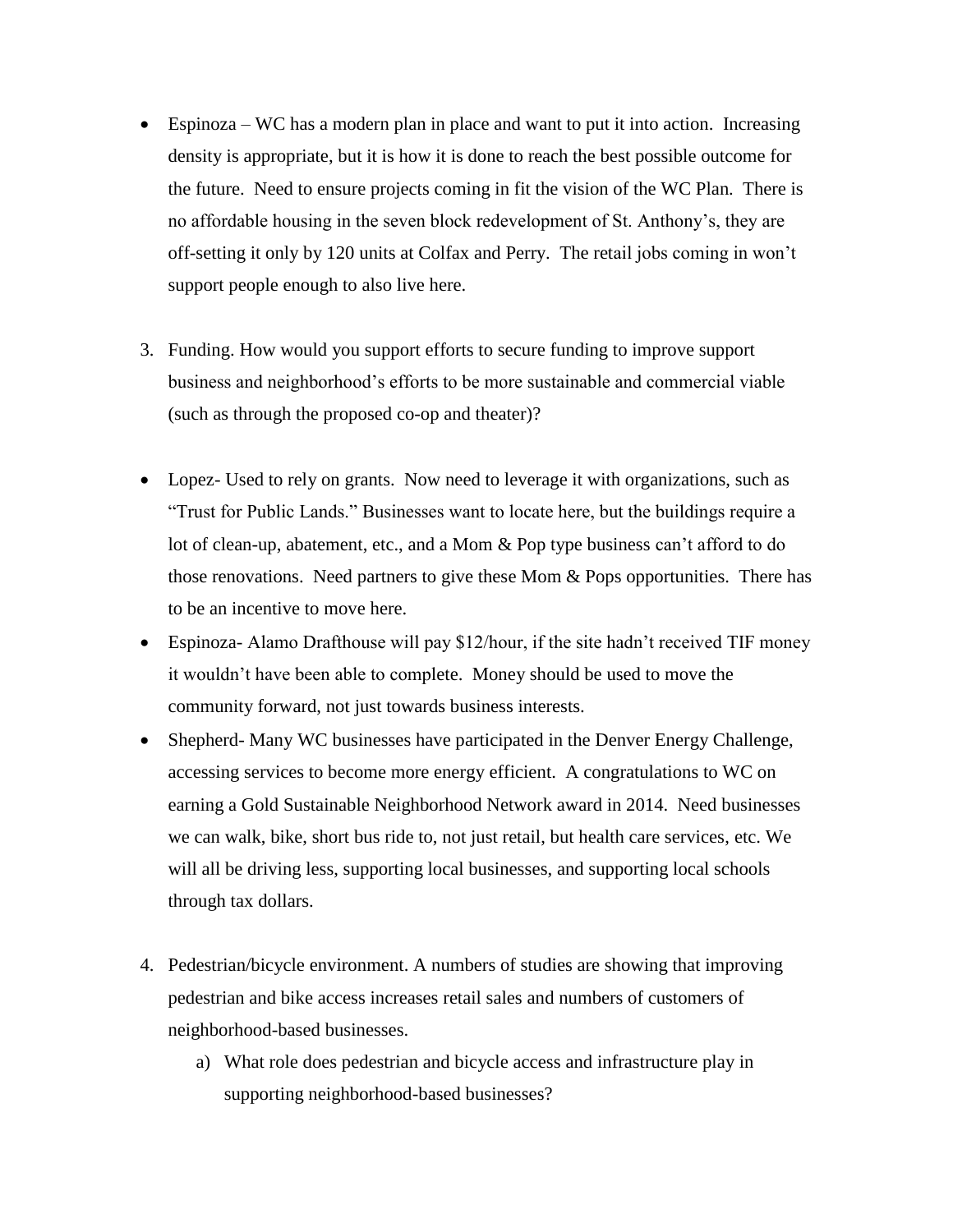- Espinoza WC has a modern plan in place and want to put it into action. Increasing density is appropriate, but it is how it is done to reach the best possible outcome for the future. Need to ensure projects coming in fit the vision of the WC Plan. There is no affordable housing in the seven block redevelopment of St. Anthony's, they are off-setting it only by 120 units at Colfax and Perry. The retail jobs coming in won't support people enough to also live here.
- 3. Funding. How would you support efforts to secure funding to improve support business and neighborhood's efforts to be more sustainable and commercial viable (such as through the proposed co-op and theater)?
- Lopez- Used to rely on grants. Now need to leverage it with organizations, such as "Trust for Public Lands." Businesses want to locate here, but the buildings require a lot of clean-up, abatement, etc., and a Mom & Pop type business can't afford to do those renovations. Need partners to give these Mom  $&$  Pops opportunities. There has to be an incentive to move here.
- Espinoza- Alamo Drafthouse will pay \$12/hour, if the site hadn't received TIF money it wouldn't have been able to complete. Money should be used to move the community forward, not just towards business interests.
- Shepherd- Many WC businesses have participated in the Denver Energy Challenge, accessing services to become more energy efficient. A congratulations to WC on earning a Gold Sustainable Neighborhood Network award in 2014. Need businesses we can walk, bike, short bus ride to, not just retail, but health care services, etc. We will all be driving less, supporting local businesses, and supporting local schools through tax dollars.
- 4. Pedestrian/bicycle environment. A numbers of studies are showing that improving pedestrian and bike access increases retail sales and numbers of customers of neighborhood-based businesses.
	- a) What role does pedestrian and bicycle access and infrastructure play in supporting neighborhood-based businesses?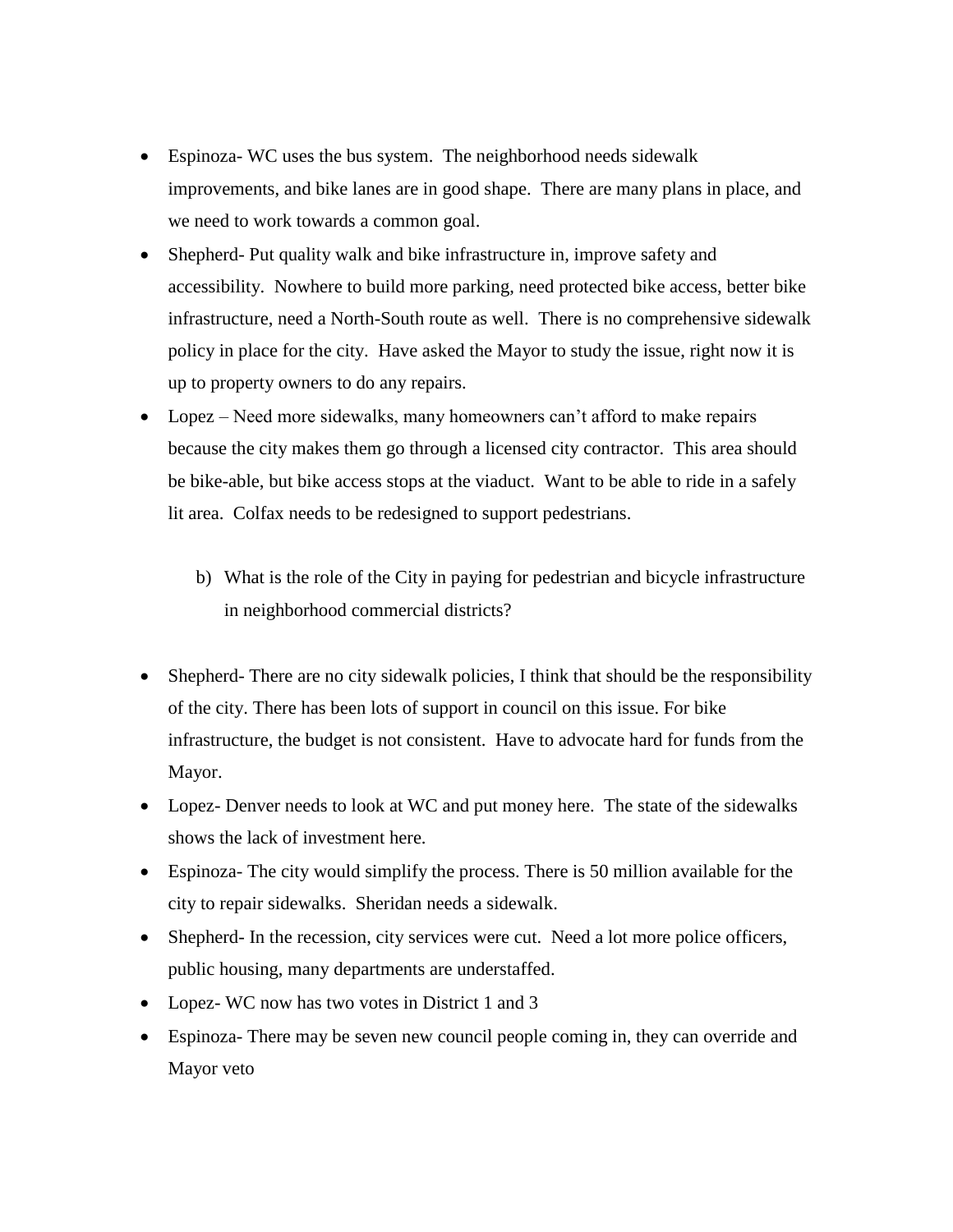- Espinoza- WC uses the bus system. The neighborhood needs sidewalk improvements, and bike lanes are in good shape. There are many plans in place, and we need to work towards a common goal.
- Shepherd- Put quality walk and bike infrastructure in, improve safety and accessibility. Nowhere to build more parking, need protected bike access, better bike infrastructure, need a North-South route as well. There is no comprehensive sidewalk policy in place for the city. Have asked the Mayor to study the issue, right now it is up to property owners to do any repairs.
- Lopez Need more sidewalks, many homeowners can't afford to make repairs because the city makes them go through a licensed city contractor. This area should be bike-able, but bike access stops at the viaduct. Want to be able to ride in a safely lit area. Colfax needs to be redesigned to support pedestrians.
	- b) What is the role of the City in paying for pedestrian and bicycle infrastructure in neighborhood commercial districts?
- Shepherd- There are no city sidewalk policies, I think that should be the responsibility of the city. There has been lots of support in council on this issue. For bike infrastructure, the budget is not consistent. Have to advocate hard for funds from the Mayor.
- Lopez- Denver needs to look at WC and put money here. The state of the sidewalks shows the lack of investment here.
- Espinoza- The city would simplify the process. There is 50 million available for the city to repair sidewalks. Sheridan needs a sidewalk.
- Shepherd- In the recession, city services were cut. Need a lot more police officers, public housing, many departments are understaffed.
- Lopez- WC now has two votes in District 1 and 3
- Espinoza- There may be seven new council people coming in, they can override and Mayor veto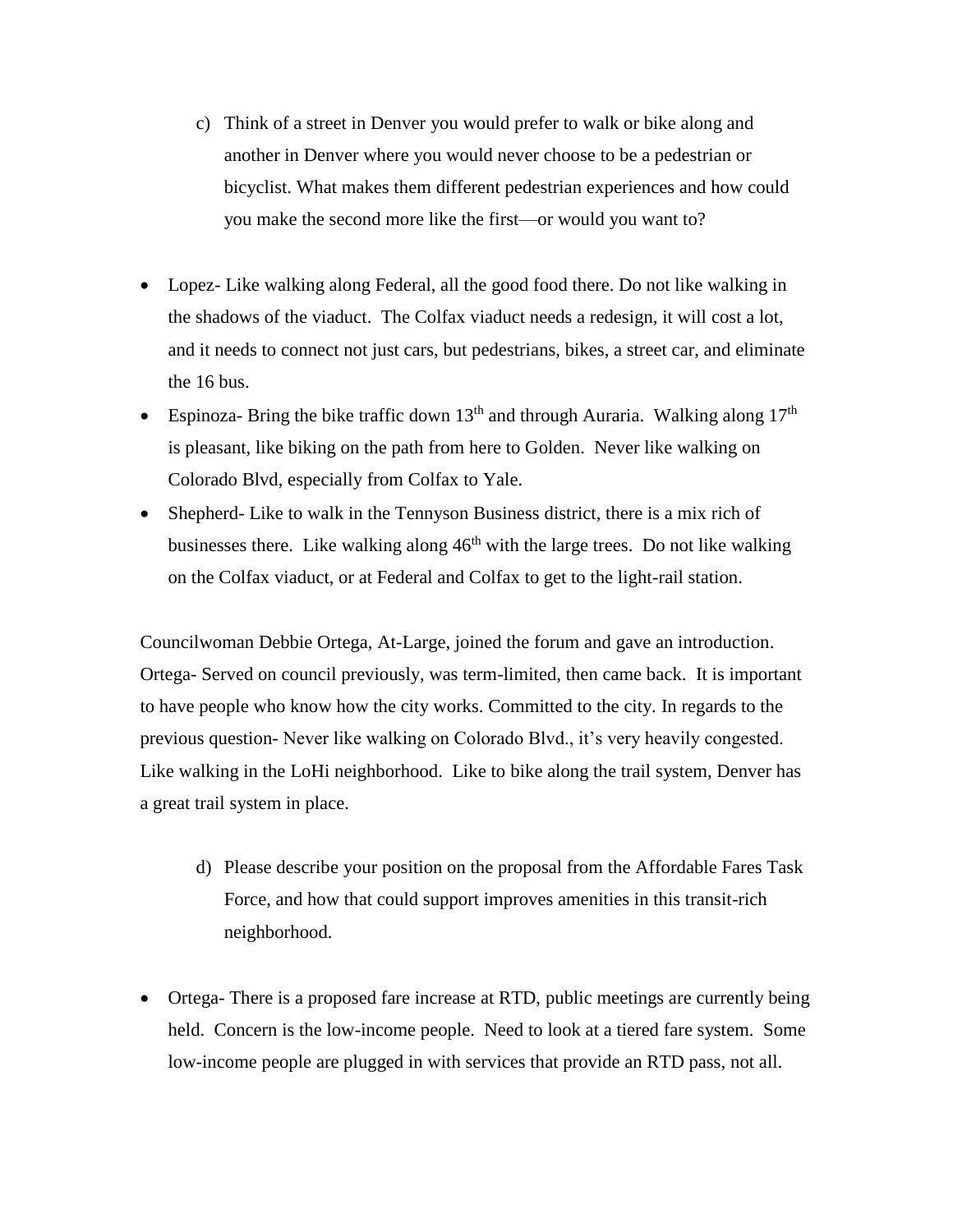- c) Think of a street in Denver you would prefer to walk or bike along and another in Denver where you would never choose to be a pedestrian or bicyclist. What makes them different pedestrian experiences and how could you make the second more like the first—or would you want to?
- Lopez- Like walking along Federal, all the good food there. Do not like walking in the shadows of the viaduct. The Colfax viaduct needs a redesign, it will cost a lot, and it needs to connect not just cars, but pedestrians, bikes, a street car, and eliminate the 16 bus.
- Espinoza- Bring the bike traffic down  $13<sup>th</sup>$  and through Auraria. Walking along  $17<sup>th</sup>$ is pleasant, like biking on the path from here to Golden. Never like walking on Colorado Blvd, especially from Colfax to Yale.
- Shepherd- Like to walk in the Tennyson Business district, there is a mix rich of businesses there. Like walking along  $46<sup>th</sup>$  with the large trees. Do not like walking on the Colfax viaduct, or at Federal and Colfax to get to the light-rail station.

Councilwoman Debbie Ortega, At-Large, joined the forum and gave an introduction. Ortega- Served on council previously, was term-limited, then came back. It is important to have people who know how the city works. Committed to the city. In regards to the previous question- Never like walking on Colorado Blvd., it's very heavily congested. Like walking in the LoHi neighborhood. Like to bike along the trail system, Denver has a great trail system in place.

- d) Please describe your position on the proposal from the Affordable Fares Task Force, and how that could support improves amenities in this transit-rich neighborhood.
- Ortega- There is a proposed fare increase at RTD, public meetings are currently being held. Concern is the low-income people. Need to look at a tiered fare system. Some low-income people are plugged in with services that provide an RTD pass, not all.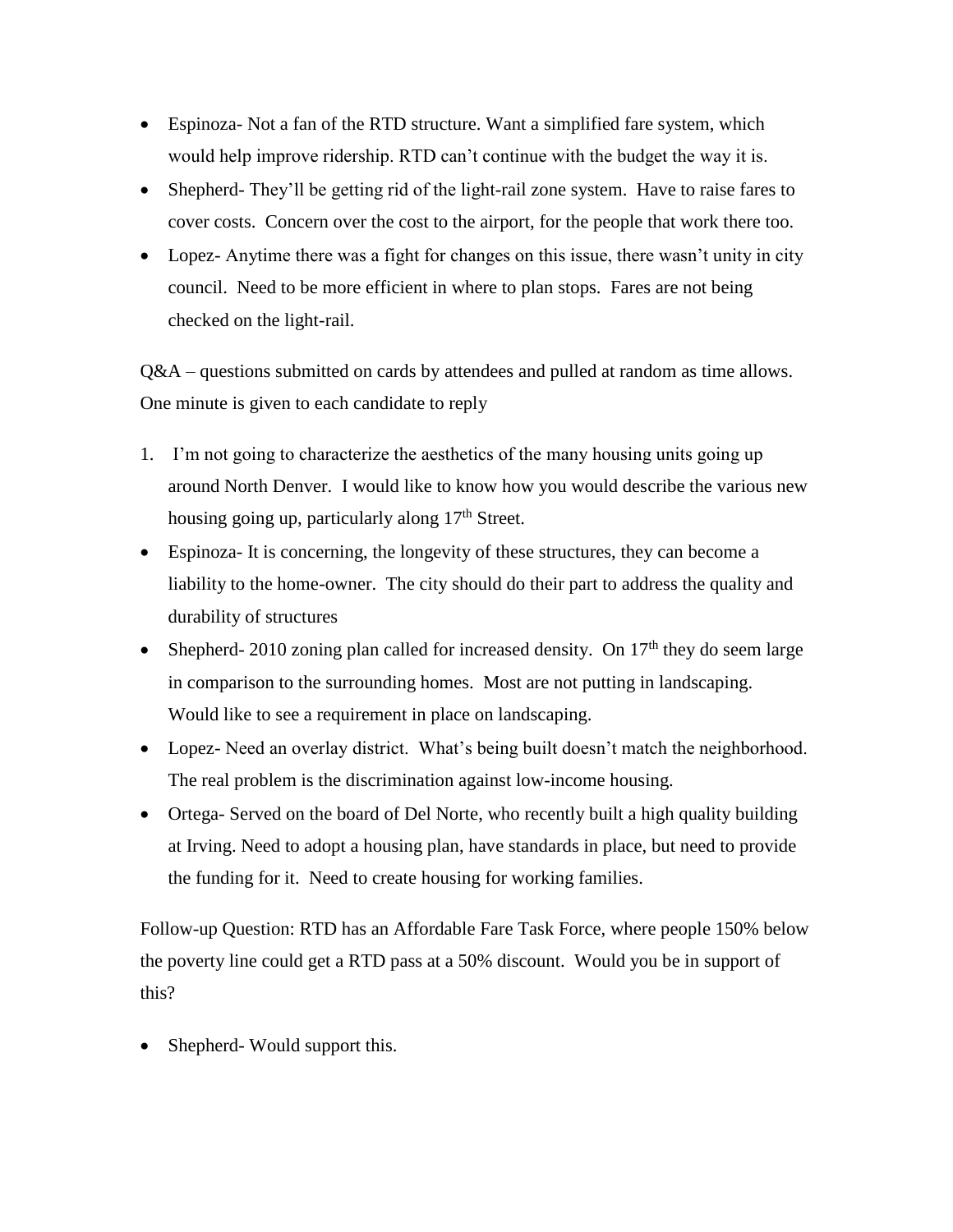- Espinoza- Not a fan of the RTD structure. Want a simplified fare system, which would help improve ridership. RTD can't continue with the budget the way it is.
- Shepherd- They'll be getting rid of the light-rail zone system. Have to raise fares to cover costs. Concern over the cost to the airport, for the people that work there too.
- Lopez- Anytime there was a fight for changes on this issue, there wasn't unity in city council. Need to be more efficient in where to plan stops. Fares are not being checked on the light-rail.

Q&A – questions submitted on cards by attendees and pulled at random as time allows. One minute is given to each candidate to reply

- 1. I'm not going to characterize the aesthetics of the many housing units going up around North Denver. I would like to know how you would describe the various new housing going up, particularly along 17<sup>th</sup> Street.
- Espinoza- It is concerning, the longevity of these structures, they can become a liability to the home-owner. The city should do their part to address the quality and durability of structures
- Shepherd- 2010 zoning plan called for increased density. On  $17<sup>th</sup>$  they do seem large in comparison to the surrounding homes. Most are not putting in landscaping. Would like to see a requirement in place on landscaping.
- Lopez- Need an overlay district. What's being built doesn't match the neighborhood. The real problem is the discrimination against low-income housing.
- Ortega- Served on the board of Del Norte, who recently built a high quality building at Irving. Need to adopt a housing plan, have standards in place, but need to provide the funding for it. Need to create housing for working families.

Follow-up Question: RTD has an Affordable Fare Task Force, where people 150% below the poverty line could get a RTD pass at a 50% discount. Would you be in support of this?

• Shepherd- Would support this.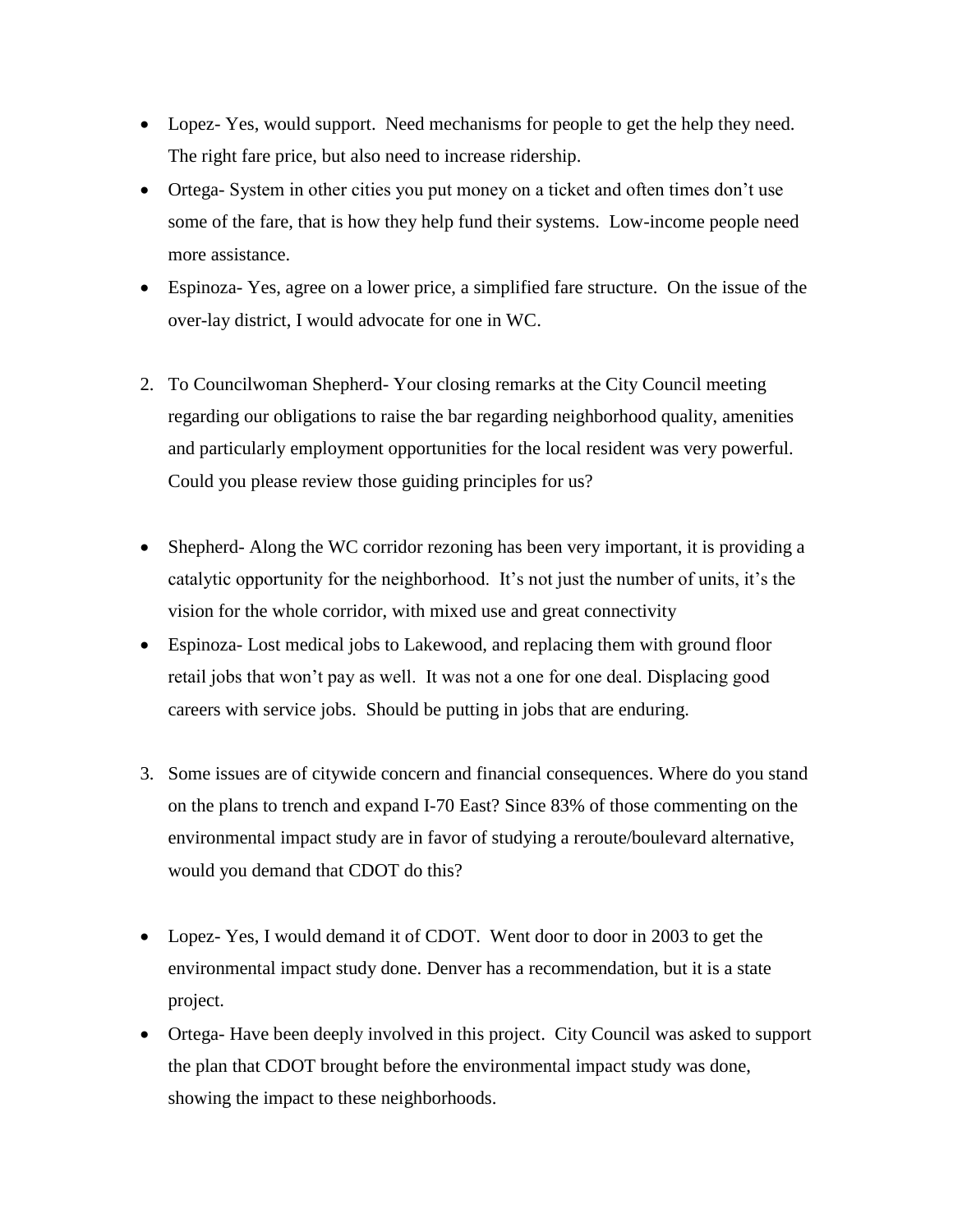- Lopez- Yes, would support. Need mechanisms for people to get the help they need. The right fare price, but also need to increase ridership.
- Ortega- System in other cities you put money on a ticket and often times don't use some of the fare, that is how they help fund their systems. Low-income people need more assistance.
- Espinoza- Yes, agree on a lower price, a simplified fare structure. On the issue of the over-lay district, I would advocate for one in WC.
- 2. To Councilwoman Shepherd- Your closing remarks at the City Council meeting regarding our obligations to raise the bar regarding neighborhood quality, amenities and particularly employment opportunities for the local resident was very powerful. Could you please review those guiding principles for us?
- Shepherd- Along the WC corridor rezoning has been very important, it is providing a catalytic opportunity for the neighborhood. It's not just the number of units, it's the vision for the whole corridor, with mixed use and great connectivity
- Espinoza- Lost medical jobs to Lakewood, and replacing them with ground floor retail jobs that won't pay as well. It was not a one for one deal. Displacing good careers with service jobs. Should be putting in jobs that are enduring.
- 3. Some issues are of citywide concern and financial consequences. Where do you stand on the plans to trench and expand I-70 East? Since 83% of those commenting on the environmental impact study are in favor of studying a reroute/boulevard alternative, would you demand that CDOT do this?
- Lopez- Yes, I would demand it of CDOT. Went door to door in 2003 to get the environmental impact study done. Denver has a recommendation, but it is a state project.
- Ortega- Have been deeply involved in this project. City Council was asked to support the plan that CDOT brought before the environmental impact study was done, showing the impact to these neighborhoods.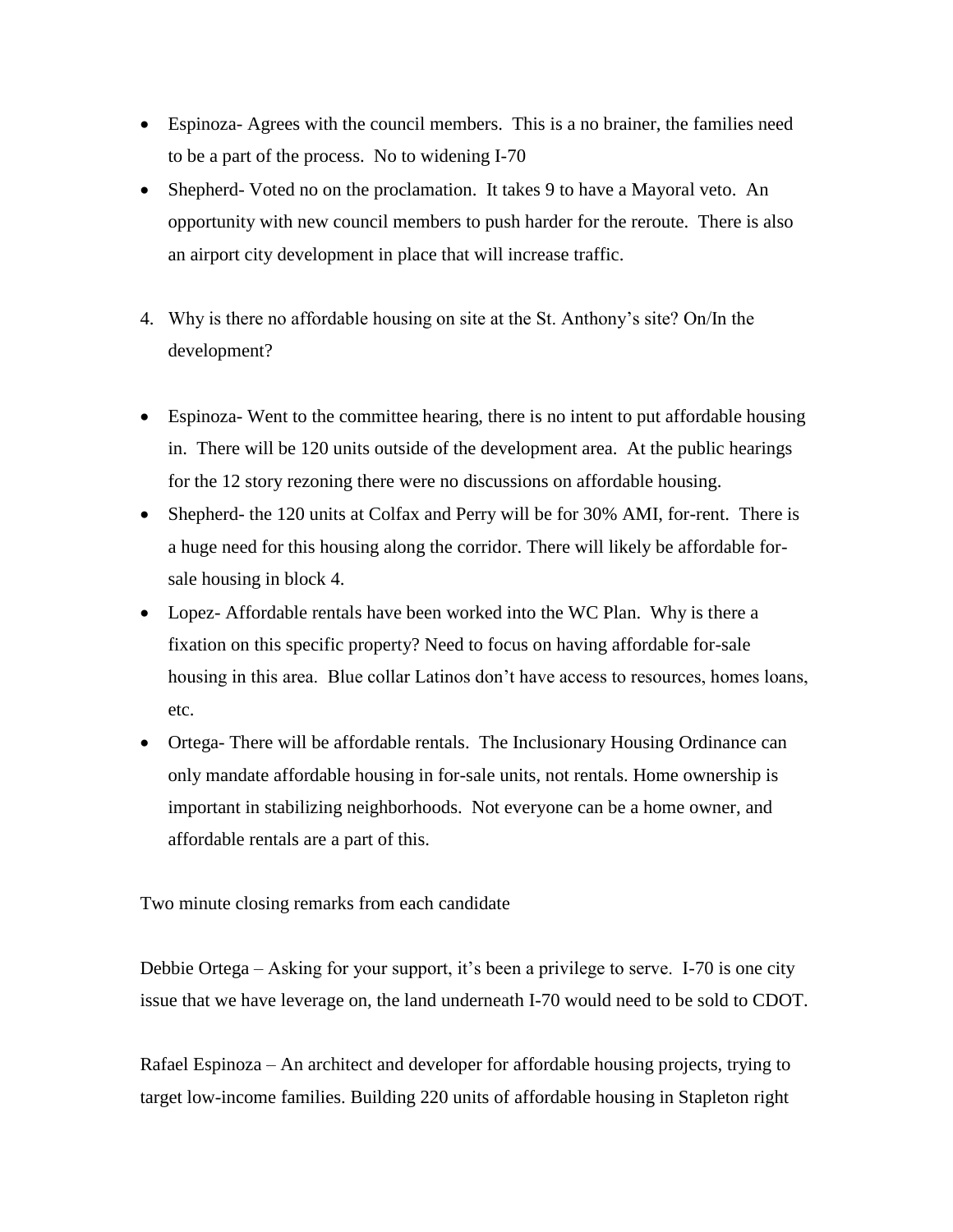- Espinoza- Agrees with the council members. This is a no brainer, the families need to be a part of the process. No to widening I-70
- Shepherd- Voted no on the proclamation. It takes 9 to have a Mayoral veto. An opportunity with new council members to push harder for the reroute. There is also an airport city development in place that will increase traffic.
- 4. Why is there no affordable housing on site at the St. Anthony's site? On/In the development?
- Espinoza- Went to the committee hearing, there is no intent to put affordable housing in. There will be 120 units outside of the development area. At the public hearings for the 12 story rezoning there were no discussions on affordable housing.
- Shepherd- the 120 units at Colfax and Perry will be for 30% AMI, for-rent. There is a huge need for this housing along the corridor. There will likely be affordable forsale housing in block 4.
- Lopez- Affordable rentals have been worked into the WC Plan. Why is there a fixation on this specific property? Need to focus on having affordable for-sale housing in this area. Blue collar Latinos don't have access to resources, homes loans, etc.
- Ortega- There will be affordable rentals. The Inclusionary Housing Ordinance can only mandate affordable housing in for-sale units, not rentals. Home ownership is important in stabilizing neighborhoods. Not everyone can be a home owner, and affordable rentals are a part of this.

Two minute closing remarks from each candidate

Debbie Ortega – Asking for your support, it's been a privilege to serve. I-70 is one city issue that we have leverage on, the land underneath I-70 would need to be sold to CDOT.

Rafael Espinoza – An architect and developer for affordable housing projects, trying to target low-income families. Building 220 units of affordable housing in Stapleton right